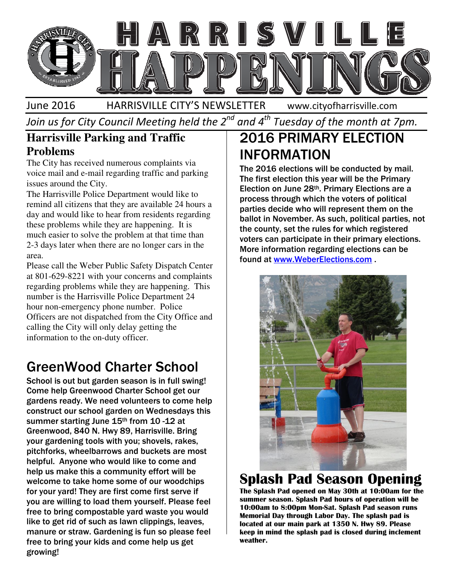

June 2016 HARRISVILLE CITY'S NEWSLETTER

www.cityofharrisville.com

Join us for City Council Meeting held the 2 $^{\mathit{nd}}$  and 4 $^{\mathit{th}}$  Tuesday of the month at 7pm.

#### **Harrisville Parking and Traffic Problems**

The City has received numerous complaints via voice mail and e-mail regarding traffic and parking issues around the City.

The Harrisville Police Department would like to remind all citizens that they are available 24 hours a day and would like to hear from residents regarding these problems while they are happening. It is much easier to solve the problem at that time than 2-3 days later when there are no longer cars in the area. ice mail and e-mail regarding traffic and parking<br>sues around the City.<br>the Harrisville Police Department would like to<br>mind all citizens that they are available 24 hours a<br>ly and would like to hear from residents regardin

Please call the Weber Public Safety Dispatch Center at 801-629-8221 with your concerns and complaints regarding problems while they are happening. This number is the Harrisville Police Department 24 hour non-emergency phone number. Police Officers are not dispatched from the City Office and calling the City will only delay getting the information to the on-duty officer.

## GreenWood Charter School Charter

School is out but garden season is in full swing! Come help Greenwood Charter School get our gardens ready. We need volunteers to come help construct our school garden on Wednesdays this summer starting June 15<sup>th</sup> from 10 -12 at Greenwood, 840 N. Hwy 89, Harrisville. Bring your gardening tools with you; shovels, rakes, summer starting June 15<sup>th</sup> from 10 -12 at<br>Greenwood, 840 N. Hwy 89, Harrisville. Bring<br>your gardening tools with you; shovels, rakes,<br>pitchforks, wheelbarrows and buckets are most helpful. Anyone who would like to come and help us make this a community effort will be welcome to take home some of our woodchips for your yard! They are first come first serve if welcome to take home some of our woodchips<br>for your yard! They are first come first serve if<br>you are willing to load them yourself. Please feel free to bring compostable yard waste you would like to get rid of such as lawn clippings, leaves, manure or straw. Gardening is fun so please feel free to bring your kids and come help growing! o Greenwood Charter School get our<br>eady. We need volunteers to come help<br>our school garden on Wednesdays this free to bring compostable yard waste you would<br>like to get rid of such as lawn clippings, leaves,<br>manure or straw. Gardening is fun so please feel<br>free to bring your kids and come help us get

# 2016 PRIMARY ELECTION INFORMATION

The 2016 elections will be conducted by mail. The first election this year will be the Primary Election on June 28th. Primary Elections are a process through which the voters of political parties decide who will represent them on the ballot in November. As such, political parties, not the county, set the rules for which registered voters can participate in their primary elections. More information regarding elections can be found at www.WeberElections.com The 2016 elections will be conducted by mail.<br>The first election this year will be the Primary<br>Election on June 28<sup>th</sup>. Primary Elections are a<br>process through which the voters of political<br>parties decide who will represen



## Splash Pad Season Opening

The Splash Pad opened on May 30 th at 10:00am for the summer season. Splash Pad hours of operation will be 10:00am to 8:00pm Mon-Sat. Splash Pad season runs Memorial Day through Labor Day. The splash pad is through is located at our main park at 1350 N. Hwy 89. Please keep in mind the splash pad is clos closed during inclement weather.